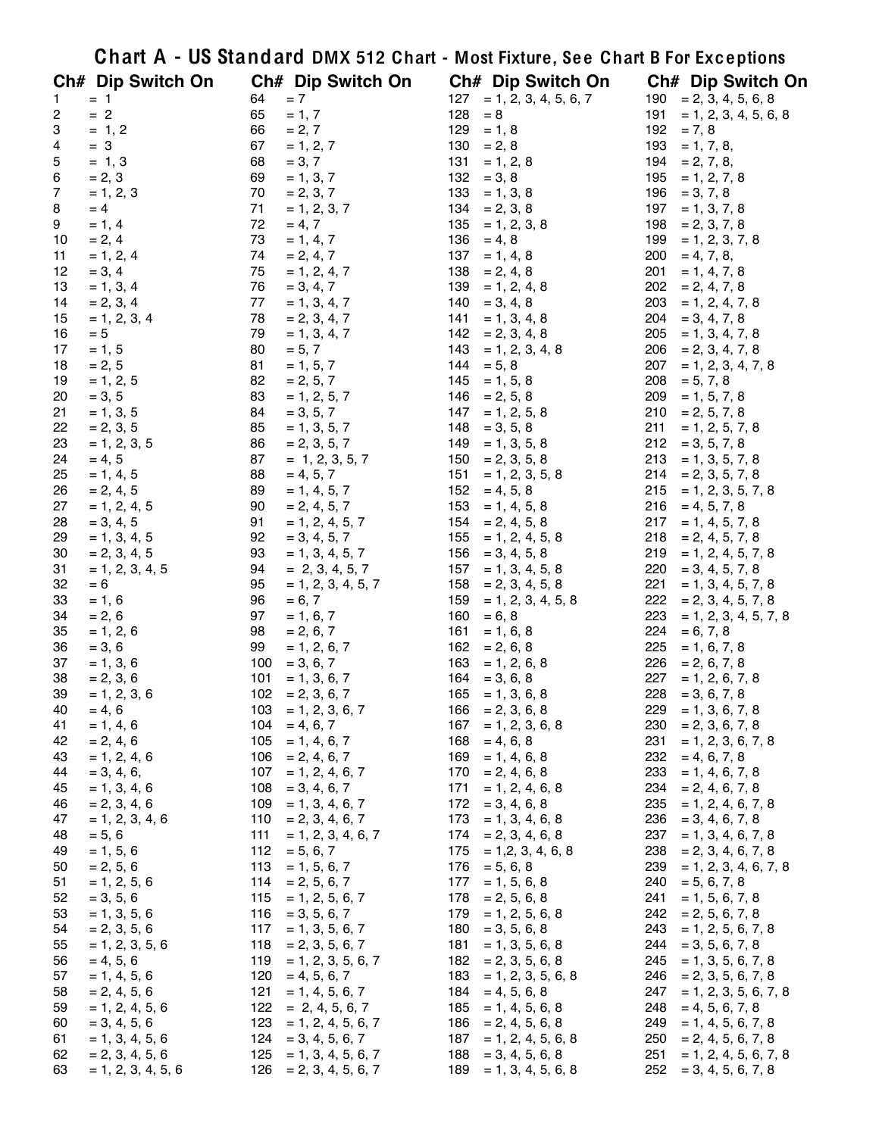|                         |                         |          |                                       |            | Chart A - US Standard DMX 512 Chart - Most Fixture, See Chart B For Exceptions |            |                                           |
|-------------------------|-------------------------|----------|---------------------------------------|------------|--------------------------------------------------------------------------------|------------|-------------------------------------------|
|                         | Ch# Dip Switch On       |          | Ch# Dip Switch On                     |            | Ch# Dip Switch On                                                              |            | Ch# Dip Switch On                         |
| 1                       | $= 1$                   | 64       | $= 7$                                 | 127        | $= 1, 2, 3, 4, 5, 6, 7$                                                        |            | $190 = 2, 3, 4, 5, 6, 8$                  |
| $\overline{\mathbf{c}}$ | $= 2$                   | 65       | $= 1, 7$                              | 128        | $= 8$                                                                          | 191        | $= 1, 2, 3, 4, 5, 6, 8$                   |
| 3                       | $= 1, 2$                | 66       | $= 2, 7$                              | 129        | $= 1, 8$                                                                       |            | $192 = 7, 8$                              |
| 4                       | $= 3$                   | 67       | $= 1, 2, 7$                           | 130        | $= 2, 8$                                                                       | 193        | $= 1, 7, 8,$                              |
| 5                       | $= 1, 3$                | 68       | $= 3, 7$                              | 131        | $= 1, 2, 8$                                                                    | 194        | $= 2, 7, 8,$                              |
| 6                       | $= 2, 3$                | 69       | $= 1, 3, 7$                           | 132        | $= 3, 8$                                                                       | 195        | $= 1, 2, 7, 8$                            |
| $\overline{7}$          | $= 1, 2, 3$             | 70       | $= 2, 3, 7$                           |            | $133 = 1, 3, 8$                                                                | 196        | $= 3, 7, 8$                               |
| 8                       | $= 4$                   | 71       | $= 1, 2, 3, 7$                        |            | $134 = 2, 3, 8$                                                                | 197        | $= 1, 3, 7, 8$                            |
| 9                       | $= 1, 4$                | 72       | $= 4, 7$                              | 135        | $= 1, 2, 3, 8$                                                                 | 198        | $= 2, 3, 7, 8$                            |
| 10                      | $= 2, 4$                | 73       | $= 1, 4, 7$                           | 136        | $= 4, 8$                                                                       | 199        | $= 1, 2, 3, 7, 8$                         |
| 11                      | $= 1, 2, 4$             | 74       | $= 2, 4, 7$                           | 137        | $= 1, 4, 8$                                                                    | 200        | $= 4, 7, 8,$                              |
| 12                      | $= 3, 4$                | 75       | $= 1, 2, 4, 7$                        | 138        | $= 2, 4, 8$                                                                    | 201        | $= 1, 4, 7, 8$                            |
| 13                      | $= 1, 3, 4$             | 76       | $= 3, 4, 7$                           | 139        | $= 1, 2, 4, 8$                                                                 | 202        | $= 2, 4, 7, 8$                            |
| 14                      | $= 2, 3, 4$             | 77<br>78 | $= 1, 3, 4, 7$                        |            | $140 = 3, 4, 8$                                                                | 203<br>204 | $= 1, 2, 4, 7, 8$                         |
| 15<br>16                | $= 1, 2, 3, 4$<br>$= 5$ | 79       | $= 2, 3, 4, 7$<br>$= 1, 3, 4, 7$      | 141<br>142 | $= 1, 3, 4, 8$<br>$= 2, 3, 4, 8$                                               | 205        | $= 3, 4, 7, 8$<br>$= 1, 3, 4, 7, 8$       |
| 17                      | $= 1, 5$                | 80       | $= 5, 7$                              | 143        | $= 1, 2, 3, 4, 8$                                                              | 206        | $= 2, 3, 4, 7, 8$                         |
| 18                      | $= 2, 5$                | 81       | $= 1, 5, 7$                           | 144        | $= 5, 8$                                                                       | 207        | $= 1, 2, 3, 4, 7, 8$                      |
| 19                      | $= 1, 2, 5$             | 82       | $= 2, 5, 7$                           |            | $145 = 1, 5, 8$                                                                | 208        | $= 5, 7, 8$                               |
| 20                      | $= 3, 5$                | 83       | $= 1, 2, 5, 7$                        | 146        | $= 2, 5, 8$                                                                    | 209        | $= 1, 5, 7, 8$                            |
| 21                      | $= 1, 3, 5$             | 84       | $= 3, 5, 7$                           | 147        | $= 1, 2, 5, 8$                                                                 | 210        | $= 2, 5, 7, 8$                            |
| 22                      | $= 2, 3, 5$             | 85       | $= 1, 3, 5, 7$                        | 148        | $= 3, 5, 8$                                                                    | 211        | $= 1, 2, 5, 7, 8$                         |
| 23                      | $= 1, 2, 3, 5$          | 86       | $= 2, 3, 5, 7$                        | 149        | $= 1, 3, 5, 8$                                                                 | 212        | $= 3, 5, 7, 8$                            |
| 24                      | $= 4, 5$                | 87       | $= 1, 2, 3, 5, 7$                     | 150        | $= 2, 3, 5, 8$                                                                 | 213        | $= 1, 3, 5, 7, 8$                         |
| 25                      | $= 1, 4, 5$             | 88       | $= 4, 5, 7$                           | 151        | $= 1, 2, 3, 5, 8$                                                              | 214        | $= 2, 3, 5, 7, 8$                         |
| 26                      | $= 2, 4, 5$             | 89       | $= 1, 4, 5, 7$                        | 152        | $= 4, 5, 8$                                                                    | 215        | $= 1, 2, 3, 5, 7, 8$                      |
| 27                      | $= 1, 2, 4, 5$          | 90       | $= 2, 4, 5, 7$                        | 153        | $= 1, 4, 5, 8$                                                                 | 216        | $= 4, 5, 7, 8$                            |
| 28                      | $= 3, 4, 5$             | 91       | $= 1, 2, 4, 5, 7$                     | 154        | $= 2, 4, 5, 8$                                                                 | 217        | $= 1, 4, 5, 7, 8$                         |
| 29                      | $= 1, 3, 4, 5$          | 92       | $= 3, 4, 5, 7$                        | 155        | $= 1, 2, 4, 5, 8$                                                              | 218        | $= 2, 4, 5, 7, 8$                         |
| 30                      | $= 2, 3, 4, 5$          | 93       | $= 1, 3, 4, 5, 7$                     | 156        | $= 3, 4, 5, 8$                                                                 | 219        | $= 1, 2, 4, 5, 7, 8$                      |
| 31                      | $= 1, 2, 3, 4, 5$       | 94       | $= 2, 3, 4, 5, 7$                     | 157        | $= 1, 3, 4, 5, 8$                                                              | 220        | $= 3, 4, 5, 7, 8$                         |
| 32                      | $= 6$                   | 95       | $= 1, 2, 3, 4, 5, 7$                  | 158        | $= 2, 3, 4, 5, 8$                                                              | 221        | $= 1, 3, 4, 5, 7, 8$                      |
| 33                      | $= 1, 6$                | 96       | $= 6, 7$                              | 159        | $= 1, 2, 3, 4, 5, 8$                                                           | 222        | $= 2, 3, 4, 5, 7, 8$                      |
| 34                      | $= 2, 6$                | 97       | $= 1, 6, 7$                           | 160        | $= 6, 8$                                                                       | 223        | $= 1, 2, 3, 4, 5, 7, 8$                   |
| 35                      | $= 1, 2, 6$             | 98       | $= 2, 6, 7$                           | 161        | $= 1, 6, 8$                                                                    | 224        | $= 6, 7, 8$                               |
| 36                      | $= 3, 6$                | 99       | $= 1, 2, 6, 7$                        |            | $162 = 2, 6, 8$                                                                | 225        | $= 1, 6, 7, 8$                            |
| 37                      | $= 1, 3, 6$             | 100      | $= 3, 6, 7$                           | 163        | $= 1, 2, 6, 8$                                                                 | 226        | $= 2, 6, 7, 8$                            |
| 38                      | $= 2, 3, 6$             | 101      | $= 1, 3, 6, 7$                        | 164        | $= 3, 6, 8$                                                                    | 227        | $= 1, 2, 6, 7, 8$                         |
| 39                      | $= 1, 2, 3, 6$          | 102      | $= 2, 3, 6, 7$                        | 165        | $= 1, 3, 6, 8$                                                                 | 228        | $= 3, 6, 7, 8$                            |
| 40                      | $= 4, 6$<br>$= 1, 4, 6$ | 103      | $= 1, 2, 3, 6, 7$                     |            | $166 = 2, 3, 6, 8$                                                             | 229        | $= 1, 3, 6, 7, 8$                         |
| 41<br>42                | $= 2, 4, 6$             |          | $104 = 4, 6, 7$<br>$105 = 1, 4, 6, 7$ |            | $167 = 1, 2, 3, 6, 8$<br>$168 = 4, 6, 8$                                       | 230<br>231 | $= 2, 3, 6, 7, 8$<br>$= 1, 2, 3, 6, 7, 8$ |
| 43                      | $= 1, 2, 4, 6$          | 106      | $= 2, 4, 6, 7$                        | 169        | $= 1, 4, 6, 8$                                                                 | 232        | $= 4, 6, 7, 8$                            |
| 44                      | $= 3, 4, 6,$            | 107      | $= 1, 2, 4, 6, 7$                     | 170        | $= 2, 4, 6, 8$                                                                 | 233        | $= 1, 4, 6, 7, 8$                         |
| 45                      | $= 1, 3, 4, 6$          | 108      | $= 3, 4, 6, 7$                        | 171        | $= 1, 2, 4, 6, 8$                                                              | 234        | $= 2, 4, 6, 7, 8$                         |
| 46                      | $= 2, 3, 4, 6$          | 109      | $= 1, 3, 4, 6, 7$                     |            | $172 = 3, 4, 6, 8$                                                             | 235        | $= 1, 2, 4, 6, 7, 8$                      |
| 47                      | $= 1, 2, 3, 4, 6$       |          | $110 = 2, 3, 4, 6, 7$                 |            | $173 = 1, 3, 4, 6, 8$                                                          | 236        | $= 3, 4, 6, 7, 8$                         |
| 48                      | $= 5, 6$                | 111      | $= 1, 2, 3, 4, 6, 7$                  |            | $174 = 2, 3, 4, 6, 8$                                                          | 237        | $= 1, 3, 4, 6, 7, 8$                      |
| 49                      | $= 1, 5, 6$             | 112      | $= 5, 6, 7$                           | 175        | $= 1, 2, 3, 4, 6, 8$                                                           |            | $238 = 2, 3, 4, 6, 7, 8$                  |
| 50                      | $= 2, 5, 6$             | 113      | $= 1, 5, 6, 7$                        |            | $176 = 5, 6, 8$                                                                | 239        | $= 1, 2, 3, 4, 6, 7, 8$                   |
| 51                      | $= 1, 2, 5, 6$          | 114      | $= 2, 5, 6, 7$                        |            | $177 = 1, 5, 6, 8$                                                             | 240        | $= 5, 6, 7, 8$                            |
| 52                      | $= 3, 5, 6$             |          | $115 = 1, 2, 5, 6, 7$                 |            | $178 = 2, 5, 6, 8$                                                             | 241        | $= 1, 5, 6, 7, 8$                         |
| 53                      | $= 1, 3, 5, 6$          |          | $116 = 3, 5, 6, 7$                    |            | $179 = 1, 2, 5, 6, 8$                                                          | 242        | $= 2, 5, 6, 7, 8$                         |
| 54                      | $= 2, 3, 5, 6$          | 117      | $= 1, 3, 5, 6, 7$                     |            | $180 = 3, 5, 6, 8$                                                             | 243        | $= 1, 2, 5, 6, 7, 8$                      |
| 55                      | $= 1, 2, 3, 5, 6$       | 118      | $= 2, 3, 5, 6, 7$                     | 181        | $= 1, 3, 5, 6, 8$                                                              | 244        | $= 3, 5, 6, 7, 8$                         |
| 56                      | $= 4, 5, 6$             | 119      | $= 1, 2, 3, 5, 6, 7$                  |            | $182 = 2, 3, 5, 6, 8$                                                          | 245        | $= 1, 3, 5, 6, 7, 8$                      |
| 57                      | $= 1, 4, 5, 6$          | 120      | $= 4, 5, 6, 7$                        |            | $183 = 1, 2, 3, 5, 6, 8$                                                       | 246        | $= 2, 3, 5, 6, 7, 8$                      |
| 58                      | $= 2, 4, 5, 6$          | 121      | $= 1, 4, 5, 6, 7$                     |            | $184 = 4, 5, 6, 8$                                                             |            | $247 = 1, 2, 3, 5, 6, 7, 8$               |
| 59                      | $= 1, 2, 4, 5, 6$       |          | $122 = 2, 4, 5, 6, 7$                 |            | $185 = 1, 4, 5, 6, 8$                                                          | 248        | $= 4, 5, 6, 7, 8$                         |
| 60                      | $= 3, 4, 5, 6$          | 123      | $= 1, 2, 4, 5, 6, 7$                  |            | $186 = 2, 4, 5, 6, 8$                                                          | 249        | $= 1, 4, 5, 6, 7, 8$                      |
| 61                      | $= 1, 3, 4, 5, 6$       | 124      | $= 3, 4, 5, 6, 7$                     |            | $187 = 1, 2, 4, 5, 6, 8$                                                       | 250        | $= 2, 4, 5, 6, 7, 8$                      |
| 62                      | $= 2, 3, 4, 5, 6$       |          | $125 = 1, 3, 4, 5, 6, 7$              |            | $188 = 3, 4, 5, 6, 8$                                                          | 251        | $= 1, 2, 4, 5, 6, 7, 8$                   |
| 63                      | $= 1, 2, 3, 4, 5, 6$    | 126      | $= 2, 3, 4, 5, 6, 7$                  |            | $189 = 1, 3, 4, 5, 6, 8$                                                       | 252        | $= 3, 4, 5, 6, 7, 8$                      |